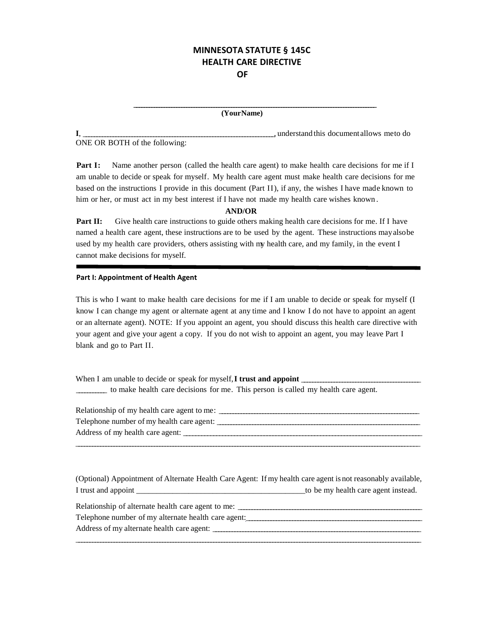# **MINNESOTA STATUTE § 145C HEALTH CARE DIRECTIVE OF**

**\_\_\_\_\_\_\_\_\_\_\_\_\_\_\_\_\_\_\_\_\_\_\_\_\_\_\_\_\_\_\_\_\_\_\_\_\_\_\_\_\_\_\_\_\_\_\_\_\_\_\_\_\_\_\_\_\_\_\_\_\_\_\_\_\_\_\_\_\_\_\_\_\_\_\_\_\_\_\_\_\_\_\_\_\_\_\_\_\_\_\_\_\_\_\_\_\_**

**(YourName)**

**I**, \_\_\_\_\_\_\_\_\_\_\_\_\_\_\_\_\_\_\_\_\_\_\_\_\_\_\_\_\_\_\_\_\_\_\_\_\_\_\_\_\_\_\_\_\_\_\_\_\_\_\_\_\_\_\_\_\_\_\_\_\_\_\_\_\_\_\_\_\_\_\_, understand this documentallows meto do

ONE OR BOTH of the following:

**Part I:** Name another person (called the health care agent) to make health care decisions for me if I am unable to decide or speak for myself. My health care agent must make health care decisions for me based on the instructions I provide in this document (Part II), if any, the wishes I have made known to him or her, or must act in my best interest if I have not made my health care wishes known .

### **AND/OR**

**Part II:** Give health care instructions to guide others making health care decisions for me. If I have named a health care agent, these instructions are to be used by the agent. These instructions mayalsobe used by my health care providers, others assisting with my health care, and my family, in the event I cannot make decisions for myself.

# **Part I: Appointment of Health Agent**

This is who I want to make health care decisions for me if I am unable to decide or speak for myself (I know I can change my agent or alternate agent at any time and I know I do not have to appoint an agent or an alternate agent). NOTE: If you appoint an agent, you should discuss this health care directive with your agent and give your agent a copy. If you do not wish to appoint an agent, you may leave Part I blank and go to Part II.

When I am unable to decide or speak for myself, I trust and appoint \_ \_\_\_\_\_\_\_\_\_\_\_ to make health care decisions for me. This person is called my health care agent.

| Relationship of my health care agent to me: |
|---------------------------------------------|
| Telephone number of my health care agent:   |
| Address of my health care agent:            |

\_\_\_\_\_\_\_\_\_\_\_\_\_\_\_\_\_\_\_\_\_\_\_\_\_\_\_\_\_\_\_\_\_\_\_\_\_\_\_\_\_\_\_\_\_\_\_\_\_\_\_\_\_\_\_\_\_\_\_\_\_\_\_\_\_\_\_\_\_\_\_\_\_\_\_\_\_\_\_\_\_\_\_\_\_\_\_\_\_\_\_\_\_\_\_\_\_\_\_\_\_\_\_\_\_\_\_\_\_\_\_\_\_\_\_\_\_\_\_\_\_\_\_\_\_\_\_

| (Optional) Appointment of Alternate Health Care Agent: If my health care agent is not reasonably available, |                                     |
|-------------------------------------------------------------------------------------------------------------|-------------------------------------|
| I trust and appoint                                                                                         | to be my health care agent instead. |
| Relationship of alternate health care agent to me:                                                          |                                     |
| Telephone number of my alternate health care agent:                                                         |                                     |
| Address of my alternate health care agent:                                                                  |                                     |

\_\_\_\_\_\_\_\_\_\_\_\_\_\_\_\_\_\_\_\_\_\_\_\_\_\_\_\_\_\_\_\_\_\_\_\_\_\_\_\_\_\_\_\_\_\_\_\_\_\_\_\_\_\_\_\_\_\_\_\_\_\_\_\_\_\_\_\_\_\_\_\_\_\_\_\_\_\_\_\_\_\_\_\_\_\_\_\_\_\_\_\_\_\_\_\_\_\_\_\_\_\_\_\_\_\_\_\_\_\_\_\_\_\_\_\_\_\_\_\_\_\_\_\_\_\_\_\_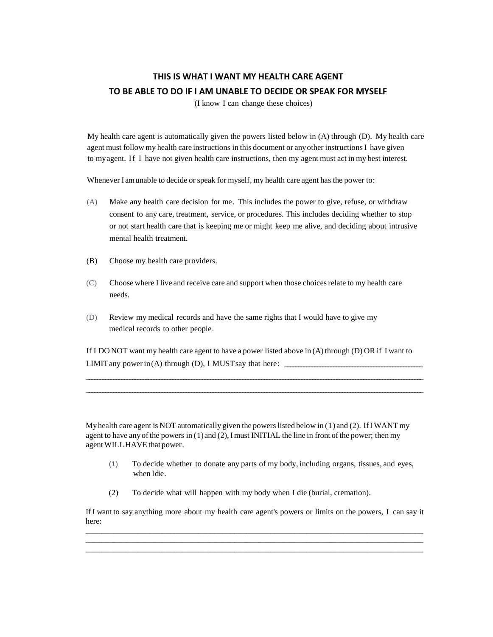# **THIS IS WHAT I WANT MY HEALTH CARE AGENT TO BE ABLE TO DO IF I AM UNABLE TO DECIDE OR SPEAK FOR MYSELF**

(I know I can change these choices)

My health care agent is automatically given the powers listed below in (A) through (D). My health care agent must follow my health care instructions in this document or anyother instructions I have given to myagent. If I have not given health care instructions, then my agent must act in my best interest.

Whenever I am unable to decide or speak for myself, my health care agent has the power to:

- (A) Make any health care decision for me. This includes the power to give, refuse, or withdraw consent to any care, treatment, service, or procedures. This includes deciding whether to stop or not start health care that is keeping me or might keep me alive, and deciding about intrusive mental health treatment.
- (B) Choose my health care providers .
- (C) Choose where I live and receive care and support when those choicesrelate to my health care needs.
- (D) Review my medical records and have the same rights that I would have to give my medical records to other people.

If I DO NOT want my health care agent to have a power listed above in (A)through (D) OR if I want to LIMIT any power in  $(A)$  through  $(D)$ , I MUST say that here:

\_\_\_\_\_\_\_\_\_\_\_\_\_\_\_\_\_\_\_\_\_\_\_\_\_\_\_\_\_\_\_\_\_\_\_\_\_\_\_\_\_\_\_\_\_\_\_\_\_\_\_\_\_\_\_\_\_\_\_\_\_\_\_\_\_\_\_\_\_\_\_\_\_\_\_\_\_\_\_\_\_\_\_\_\_\_\_\_\_\_\_\_\_\_\_\_\_\_\_\_\_\_\_\_\_\_\_\_\_\_\_\_\_\_\_\_\_\_\_\_\_\_\_\_\_ \_\_\_\_\_\_\_\_\_\_\_\_\_\_\_\_\_\_\_\_\_\_\_\_\_\_\_\_\_\_\_\_\_\_\_\_\_\_\_\_\_\_\_\_\_\_\_\_\_\_\_\_\_\_\_\_\_\_\_\_\_\_\_\_\_\_\_\_\_\_\_\_\_\_\_\_\_\_\_\_\_\_\_\_\_\_\_\_\_\_\_\_\_\_\_\_\_\_\_\_\_\_\_\_\_\_\_\_\_\_\_\_\_\_\_\_\_\_\_\_\_\_\_\_\_

My health care agent is NOT automatically given the powers listed below in  $(1)$  and  $(2)$ . If I WANT my agent to have any of the powers in  $(1)$  and  $(2)$ , I must INITIAL the line in front of the power; then my agent WILL HAVE that power.

- (1) To decide whether to donate any parts of my body, including organs, tissues, and eyes, when I die.
- (2) To decide what will happen with my body when I die (burial, cremation).

If I want to say anything more about my health care agent's powers or limits on the powers, I can say it here: \_\_\_\_\_\_\_\_\_\_\_\_\_\_\_\_\_\_\_\_\_\_\_\_\_\_\_\_\_\_\_\_\_\_\_\_\_\_\_\_\_\_\_\_\_\_\_\_\_\_\_\_\_\_\_\_\_\_\_\_\_\_\_\_\_\_\_\_\_\_\_\_\_\_\_\_\_\_\_\_\_\_\_\_

\_\_\_\_\_\_\_\_\_\_\_\_\_\_\_\_\_\_\_\_\_\_\_\_\_\_\_\_\_\_\_\_\_\_\_\_\_\_\_\_\_\_\_\_\_\_\_\_\_\_\_\_\_\_\_\_\_\_\_\_\_\_\_\_\_\_\_\_\_\_\_\_\_\_\_\_\_\_\_\_\_\_\_\_ \_\_\_\_\_\_\_\_\_\_\_\_\_\_\_\_\_\_\_\_\_\_\_\_\_\_\_\_\_\_\_\_\_\_\_\_\_\_\_\_\_\_\_\_\_\_\_\_\_\_\_\_\_\_\_\_\_\_\_\_\_\_\_\_\_\_\_\_\_\_\_\_\_\_\_\_\_\_\_\_\_\_\_\_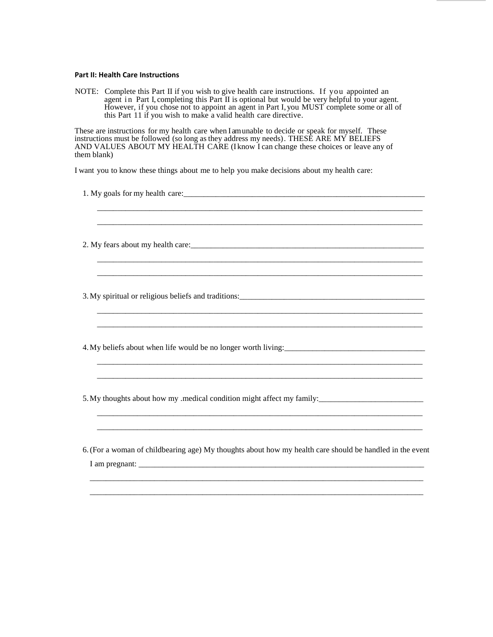#### **Part II: Health Care Instructions**

NOTE: Complete this Part II if you wish to give health care instructions. If you appointed an agent in Part I, completing this Part II is optional but would be very helpful to your agent. However, if you chose not to appoint an agent in Part I, you MUST complete some or all of this Part 11 if you wish to make a valid health care directive.

These are instructions for my health care when I am unable to decide or speak for myself. These instructions must be followed (so long as they address my needs). THESE ARE MY BELIEFS AND VALUES ABOUT MY HEALTH CARE (I know I can change these choices or leave any of them blank)

I want you to know these things about me to help you make decisions about my health care:

| 5. My thoughts about how my .medical condition might affect my family:______________________________                                                                                                                             |  |
|----------------------------------------------------------------------------------------------------------------------------------------------------------------------------------------------------------------------------------|--|
| <u> 1980 - John Stone, Amerikaans en Stone, Frysk kalender en beskriuwer en beskriuwer en beskriuwer en beskriuw</u><br>6. (For a woman of childbearing age) My thoughts about how my health care should be handled in the event |  |

\_\_\_\_\_\_\_\_\_\_\_\_\_\_\_\_\_\_\_\_\_\_\_\_\_\_\_\_\_\_\_\_\_\_\_\_\_\_\_\_\_\_\_\_\_\_\_\_\_\_\_\_\_\_\_\_\_\_\_\_\_\_\_\_\_\_\_\_\_\_\_\_\_\_\_\_\_\_\_\_\_\_\_ \_\_\_\_\_\_\_\_\_\_\_\_\_\_\_\_\_\_\_\_\_\_\_\_\_\_\_\_\_\_\_\_\_\_\_\_\_\_\_\_\_\_\_\_\_\_\_\_\_\_\_\_\_\_\_\_\_\_\_\_\_\_\_\_\_\_\_\_\_\_\_\_\_\_\_\_\_\_\_\_\_\_\_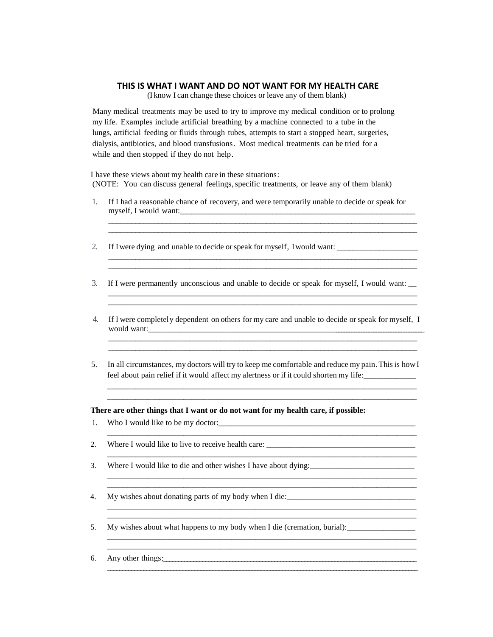# **THIS IS WHAT I WANT AND DO NOT WANT FOR MY HEALTH CARE**

(I know I can change these choices or leave any of them blank)

Many medical treatments may be used to try to improve my medical condition or to prolong my life. Examples include artificial breathing by a machine connected to a tube in the lungs, artificial feeding or fluids through tubes, attempts to start a stopped heart, surgeries, dialysis, antibiotics, and blood transfusions . Most medical treatments can be tried for a while and then stopped if they do not help.

I have these views about my health care in these situations: (NOTE: You can discuss general feelings, specific treatments, or leave any of them blank)

1. If I had a reasonable chance of recovery, and were temporarily unable to decide or speak for myself, I would want:\_\_\_\_\_\_\_\_\_\_\_\_\_\_\_\_\_\_\_\_\_\_\_\_\_\_\_\_\_\_\_\_\_\_\_\_\_\_\_\_\_\_\_\_\_\_\_\_\_\_\_\_\_\_\_\_\_\_\_\_\_

\_\_\_\_\_\_\_\_\_\_\_\_\_\_\_\_\_\_\_\_\_\_\_\_\_\_\_\_\_\_\_\_\_\_\_\_\_\_\_\_\_\_\_\_\_\_\_\_\_\_\_\_\_\_\_\_\_\_\_\_\_\_\_\_\_\_\_\_\_\_\_\_\_\_\_\_\_\_\_\_ \_\_\_\_\_\_\_\_\_\_\_\_\_\_\_\_\_\_\_\_\_\_\_\_\_\_\_\_\_\_\_\_\_\_\_\_\_\_\_\_\_\_\_\_\_\_\_\_\_\_\_\_\_\_\_\_\_\_\_\_\_\_\_\_\_\_\_\_\_\_\_\_\_\_\_\_\_\_\_\_

\_\_\_\_\_\_\_\_\_\_\_\_\_\_\_\_\_\_\_\_\_\_\_\_\_\_\_\_\_\_\_\_\_\_\_\_\_\_\_\_\_\_\_\_\_\_\_\_\_\_\_\_\_\_\_\_\_\_\_\_\_\_\_\_\_\_\_\_\_\_\_\_\_\_\_\_\_\_\_\_

\_\_\_\_\_\_\_\_\_\_\_\_\_\_\_\_\_\_\_\_\_\_\_\_\_\_\_\_\_\_\_\_\_\_\_\_\_\_\_\_\_\_\_\_\_\_\_\_\_\_\_\_\_\_\_\_\_\_\_\_\_\_\_\_\_\_\_\_\_\_\_\_\_\_\_\_\_ \_\_\_\_\_\_\_\_\_\_\_\_\_\_\_\_\_\_\_\_\_\_\_\_\_\_\_\_\_\_\_\_\_\_\_\_\_\_\_\_\_\_\_\_\_\_\_\_\_\_\_\_\_\_\_\_\_\_\_\_\_\_\_\_\_\_\_\_\_\_\_\_\_\_\_\_\_

\_\_\_\_\_\_\_\_\_\_\_\_\_\_\_\_\_\_\_\_\_\_\_\_\_\_\_\_\_\_\_\_\_\_\_\_\_\_\_\_\_\_\_\_\_\_\_\_\_\_\_\_\_\_\_\_\_\_\_\_\_\_\_\_\_\_\_\_\_\_\_\_\_\_\_\_\_\_\_\_ \_\_\_\_\_\_\_\_\_\_\_\_\_\_\_\_\_\_\_\_\_\_\_\_\_\_\_\_\_\_\_\_\_\_\_\_\_\_\_\_\_\_\_\_\_\_\_\_\_\_\_\_\_\_\_\_\_\_\_\_\_\_\_\_\_\_\_\_\_\_\_\_\_\_\_\_\_\_\_\_

\_\_\_\_\_\_\_\_\_\_\_\_\_\_\_\_\_\_\_\_\_\_\_\_\_\_\_\_\_\_\_\_\_\_\_\_\_\_\_\_\_\_\_\_\_\_\_\_\_\_\_\_\_\_\_\_\_\_\_\_\_\_\_\_\_\_\_\_\_\_\_\_\_\_\_\_\_ \_\_\_\_\_\_\_\_\_\_\_\_\_\_\_\_\_\_\_\_\_\_\_\_\_\_\_\_\_\_\_\_\_\_\_\_\_\_\_\_\_\_\_\_\_\_\_\_\_\_\_\_\_\_\_\_\_\_\_\_\_\_\_\_\_\_\_\_\_\_\_\_\_\_\_\_\_

\_\_\_\_\_\_\_\_\_\_\_\_\_\_\_\_\_\_\_\_\_\_\_\_\_\_\_\_\_\_\_\_\_\_\_\_\_\_\_\_\_\_\_\_\_\_\_\_\_\_\_\_\_\_\_\_\_\_\_\_\_\_\_\_\_\_\_\_\_\_\_\_\_\_\_\_\_

\_\_\_\_\_\_\_\_\_\_\_\_\_\_\_\_\_\_\_\_\_\_\_\_\_\_\_\_\_\_\_\_\_\_\_\_\_\_\_\_\_\_\_\_\_\_\_\_\_\_\_\_\_\_\_\_\_\_\_\_\_\_\_\_\_\_\_\_\_\_\_\_\_\_\_\_\_ \_\_\_\_\_\_\_\_\_\_\_\_\_\_\_\_\_\_\_\_\_\_\_\_\_\_\_\_\_\_\_\_\_\_\_\_\_\_\_\_\_\_\_\_\_\_\_\_\_\_\_\_\_\_\_\_\_\_\_\_\_\_\_\_\_\_\_\_\_\_\_\_\_\_\_\_\_

\_\_\_\_\_\_\_\_\_\_\_\_\_\_\_\_\_\_\_\_\_\_\_\_\_\_\_\_\_\_\_\_\_\_\_\_\_\_\_\_\_\_\_\_\_\_\_\_\_\_\_\_\_\_\_\_\_\_\_\_\_\_\_\_\_\_\_\_\_\_\_\_\_\_\_\_\_

\_\_\_\_\_\_\_\_\_\_\_\_\_\_\_\_\_\_\_\_\_\_\_\_\_\_\_\_\_\_\_\_\_\_\_\_\_\_\_\_\_\_\_\_\_\_\_\_\_\_\_\_\_\_\_\_\_\_\_\_\_\_\_\_\_\_\_\_\_\_\_\_\_\_\_\_\_

\_\_\_\_\_\_\_\_\_\_\_\_\_\_\_\_\_\_\_\_\_\_\_\_\_\_\_\_\_\_\_\_\_\_\_\_\_\_\_\_\_\_\_\_\_\_\_\_\_\_\_\_\_\_\_\_\_\_\_\_\_\_\_\_\_\_\_\_\_\_\_\_\_\_\_\_\_\_\_\_\_\_\_\_\_\_\_\_\_\_\_\_\_\_\_\_\_\_\_\_\_\_\_

\_\_\_\_\_\_\_\_\_\_\_\_\_\_\_\_\_\_\_\_\_\_\_\_\_\_\_\_\_\_\_\_\_\_\_\_\_\_\_\_\_\_\_\_\_\_\_\_\_\_\_\_\_\_\_\_\_\_\_\_\_\_\_\_\_\_\_\_\_\_\_\_\_\_\_\_\_

- 2. If I were dying and unable to decide or speak for myself, I would want: \_\_\_\_\_\_\_\_\_\_\_\_\_\_\_\_\_\_\_\_\_\_\_\_\_\_\_\_\_\_\_\_\_\_\_
- 3. If I were permanently unconscious and unable to decide or speak for myself, I would want: \_\_
- 4. If I were completely dependent on others for my care and unable to decide or speak for myself, I would want:\_\_\_\_\_\_\_\_\_\_\_\_\_\_\_\_\_\_\_\_\_\_\_\_\_\_\_\_\_\_\_\_\_\_\_\_\_\_\_\_\_\_\_\_\_\_\_\_\_\_\_\_\_\_\_\_\_\_\_\_\_\_\_\_\_\_\_\_\_\_\_\_\_\_\_\_\_\_\_\_\_\_
- 5. In all circumstances, my doctors will try to keep me comfortable and reduce my pain . Thisis how I feel about pain relief if it would affect my alertness or if it could shorten my life:\_\_\_\_\_\_\_\_\_\_\_\_\_

**There are other things that I want or do not want for my health care, if possible:**

- 1. Who I would like to be my doctor:\_\_\_\_\_\_\_\_\_\_\_\_\_\_\_\_\_\_\_\_\_\_\_\_\_\_\_\_\_\_\_\_\_\_\_\_\_\_\_\_\_\_\_\_\_\_\_\_\_
- 2. Where I would like to live to receive health care:
- 3. Where I would like to die and other wishes I have about dying:
- 4. My wishes about donating parts of my body when I die:\_\_\_\_\_\_\_\_\_\_\_\_\_\_\_\_\_\_\_\_\_\_\_\_\_\_\_\_\_\_\_\_
- 5. My wishes about what happens to my body when I die (cremation, burial):\_\_\_\_\_\_\_\_\_\_\_\_\_\_\_\_\_
- 6. Any other things:  $\blacksquare$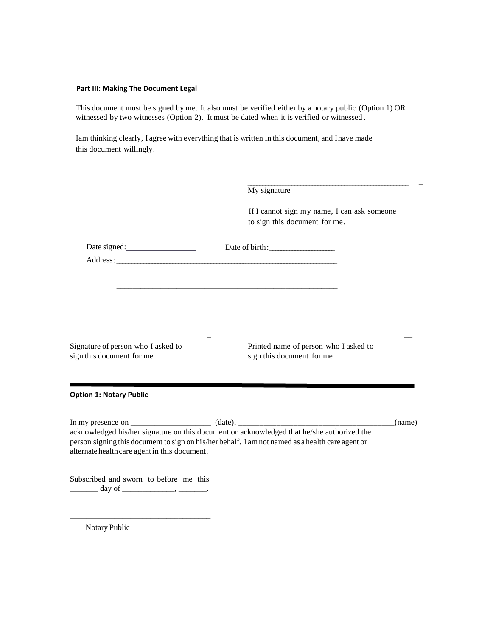## **Part III: Making The Document Legal**

This document must be signed by me. It also must be verified either by a notary public (Option 1) OR witnessed by two witnesses (Option 2). It must be dated when it is verified or witnessed .

Iam thinking clearly, I agree with everything that is written in this document, and I have made this document willingly.

|                                                                 | My signature<br>If I cannot sign my name, I can ask someone<br>to sign this document for me.         |
|-----------------------------------------------------------------|------------------------------------------------------------------------------------------------------|
| Date signed:                                                    | Date of birth:                                                                                       |
| Signature of person who I asked to<br>sign this document for me | Printed name of person who I asked to<br>sign this document for me                                   |
| <b>Option 1: Notary Public</b>                                  |                                                                                                      |
|                                                                 | (name)<br>acknowledged his/her signature on this document or acknowledged that he/she authorized the |

person signing this document to sign on his/her behalf. I amnot named as a health care agent or

Subscribed and sworn to before me this  $\frac{day \text{ of }$ 

\_\_\_\_\_\_\_\_\_\_\_\_\_\_\_\_\_\_\_\_\_\_\_\_\_\_\_\_\_\_\_\_\_\_\_

alternate health care agent in this document.

Notary Public